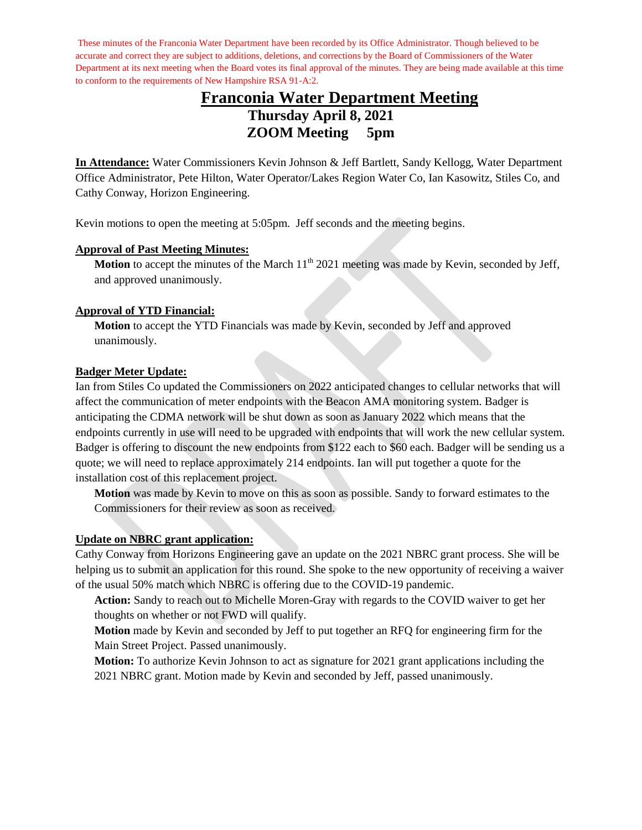These minutes of the Franconia Water Department have been recorded by its Office Administrator. Though believed to be accurate and correct they are subject to additions, deletions, and corrections by the Board of Commissioners of the Water Department at its next meeting when the Board votes its final approval of the minutes. They are being made available at this time to conform to the requirements of New Hampshire RSA 91-A:2.

# **Franconia Water Department Meeting Thursday April 8, 2021 ZOOM Meeting 5pm**

**In Attendance:** Water Commissioners Kevin Johnson & Jeff Bartlett, Sandy Kellogg, Water Department Office Administrator, Pete Hilton, Water Operator/Lakes Region Water Co, Ian Kasowitz, Stiles Co, and Cathy Conway, Horizon Engineering.

Kevin motions to open the meeting at 5:05pm. Jeff seconds and the meeting begins.

#### **Approval of Past Meeting Minutes:**

**Motion** to accept the minutes of the March  $11<sup>th</sup>$  2021 meeting was made by Kevin, seconded by Jeff, and approved unanimously.

#### **Approval of YTD Financial:**

**Motion** to accept the YTD Financials was made by Kevin, seconded by Jeff and approved unanimously.

#### **Badger Meter Update:**

Ian from Stiles Co updated the Commissioners on 2022 anticipated changes to cellular networks that will affect the communication of meter endpoints with the Beacon AMA monitoring system. Badger is anticipating the CDMA network will be shut down as soon as January 2022 which means that the endpoints currently in use will need to be upgraded with endpoints that will work the new cellular system. Badger is offering to discount the new endpoints from \$122 each to \$60 each. Badger will be sending us a quote; we will need to replace approximately 214 endpoints. Ian will put together a quote for the installation cost of this replacement project.

**Motion** was made by Kevin to move on this as soon as possible. Sandy to forward estimates to the Commissioners for their review as soon as received.

#### **Update on NBRC grant application:**

Cathy Conway from Horizons Engineering gave an update on the 2021 NBRC grant process. She will be helping us to submit an application for this round. She spoke to the new opportunity of receiving a waiver of the usual 50% match which NBRC is offering due to the COVID-19 pandemic.

**Action:** Sandy to reach out to Michelle Moren-Gray with regards to the COVID waiver to get her thoughts on whether or not FWD will qualify.

**Motion** made by Kevin and seconded by Jeff to put together an RFQ for engineering firm for the Main Street Project. Passed unanimously.

**Motion:** To authorize Kevin Johnson to act as signature for 2021 grant applications including the 2021 NBRC grant. Motion made by Kevin and seconded by Jeff, passed unanimously.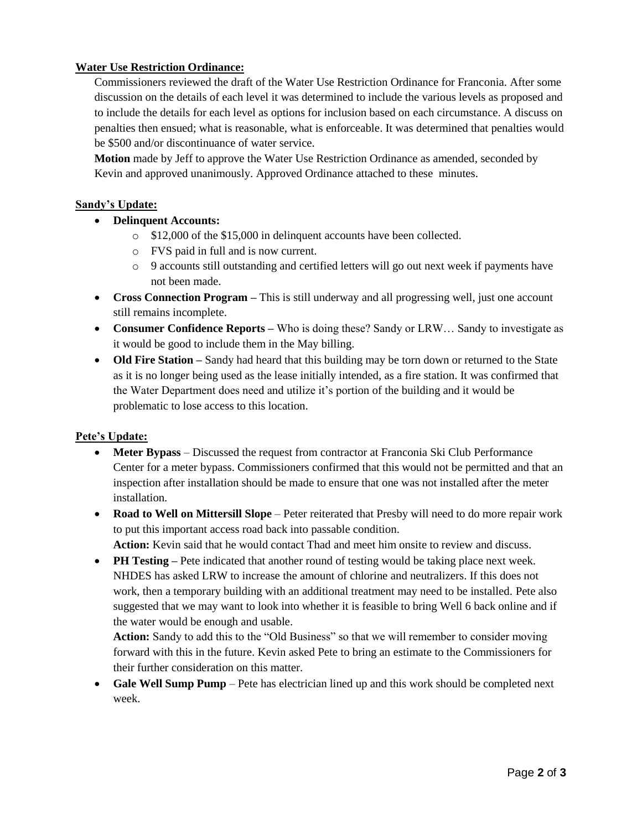#### **Water Use Restriction Ordinance:**

Commissioners reviewed the draft of the Water Use Restriction Ordinance for Franconia. After some discussion on the details of each level it was determined to include the various levels as proposed and to include the details for each level as options for inclusion based on each circumstance. A discuss on penalties then ensued; what is reasonable, what is enforceable. It was determined that penalties would be \$500 and/or discontinuance of water service.

**Motion** made by Jeff to approve the Water Use Restriction Ordinance as amended, seconded by Kevin and approved unanimously. Approved Ordinance attached to these minutes.

#### **Sandy's Update:**

- **Delinquent Accounts:**
	- o \$12,000 of the \$15,000 in delinquent accounts have been collected.
	- o FVS paid in full and is now current.
	- o 9 accounts still outstanding and certified letters will go out next week if payments have not been made.
- **Cross Connection Program** This is still underway and all progressing well, just one account still remains incomplete.
- **Consumer Confidence Reports –** Who is doing these? Sandy or LRW... Sandy to investigate as it would be good to include them in the May billing.
- **Old Fire Station** Sandy had heard that this building may be torn down or returned to the State as it is no longer being used as the lease initially intended, as a fire station. It was confirmed that the Water Department does need and utilize it's portion of the building and it would be problematic to lose access to this location.

#### **Pete's Update:**

- **Meter Bypass** Discussed the request from contractor at Franconia Ski Club Performance Center for a meter bypass. Commissioners confirmed that this would not be permitted and that an inspection after installation should be made to ensure that one was not installed after the meter installation.
- **Road to Well on Mittersill Slope** Peter reiterated that Presby will need to do more repair work to put this important access road back into passable condition.

**Action:** Kevin said that he would contact Thad and meet him onsite to review and discuss.

**• PH Testing** – Pete indicated that another round of testing would be taking place next week. NHDES has asked LRW to increase the amount of chlorine and neutralizers. If this does not work, then a temporary building with an additional treatment may need to be installed. Pete also suggested that we may want to look into whether it is feasible to bring Well 6 back online and if the water would be enough and usable.

**Action:** Sandy to add this to the "Old Business" so that we will remember to consider moving forward with this in the future. Kevin asked Pete to bring an estimate to the Commissioners for their further consideration on this matter.

 **Gale Well Sump Pump** – Pete has electrician lined up and this work should be completed next week.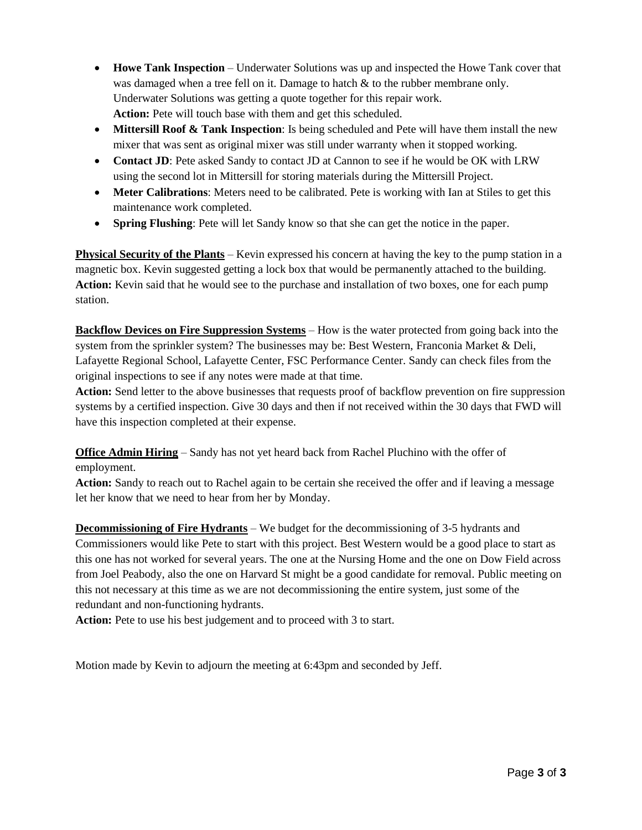- **Howe Tank Inspection** Underwater Solutions was up and inspected the Howe Tank cover that was damaged when a tree fell on it. Damage to hatch & to the rubber membrane only. Underwater Solutions was getting a quote together for this repair work. **Action:** Pete will touch base with them and get this scheduled.
- **Mittersill Roof & Tank Inspection**: Is being scheduled and Pete will have them install the new mixer that was sent as original mixer was still under warranty when it stopped working.
- **Contact JD**: Pete asked Sandy to contact JD at Cannon to see if he would be OK with LRW using the second lot in Mittersill for storing materials during the Mittersill Project.
- **Meter Calibrations**: Meters need to be calibrated. Pete is working with Ian at Stiles to get this maintenance work completed.
- **Spring Flushing**: Pete will let Sandy know so that she can get the notice in the paper.

**Physical Security of the Plants** – Kevin expressed his concern at having the key to the pump station in a magnetic box. Kevin suggested getting a lock box that would be permanently attached to the building. **Action:** Kevin said that he would see to the purchase and installation of two boxes, one for each pump station.

**Backflow Devices on Fire Suppression Systems** – How is the water protected from going back into the system from the sprinkler system? The businesses may be: Best Western, Franconia Market & Deli, Lafayette Regional School, Lafayette Center, FSC Performance Center. Sandy can check files from the original inspections to see if any notes were made at that time.

**Action:** Send letter to the above businesses that requests proof of backflow prevention on fire suppression systems by a certified inspection. Give 30 days and then if not received within the 30 days that FWD will have this inspection completed at their expense.

**Office Admin Hiring** – Sandy has not yet heard back from Rachel Pluchino with the offer of employment.

**Action:** Sandy to reach out to Rachel again to be certain she received the offer and if leaving a message let her know that we need to hear from her by Monday.

**Decommissioning of Fire Hydrants** – We budget for the decommissioning of 3-5 hydrants and Commissioners would like Pete to start with this project. Best Western would be a good place to start as this one has not worked for several years. The one at the Nursing Home and the one on Dow Field across from Joel Peabody, also the one on Harvard St might be a good candidate for removal. Public meeting on this not necessary at this time as we are not decommissioning the entire system, just some of the redundant and non-functioning hydrants.

**Action:** Pete to use his best judgement and to proceed with 3 to start.

Motion made by Kevin to adjourn the meeting at 6:43pm and seconded by Jeff.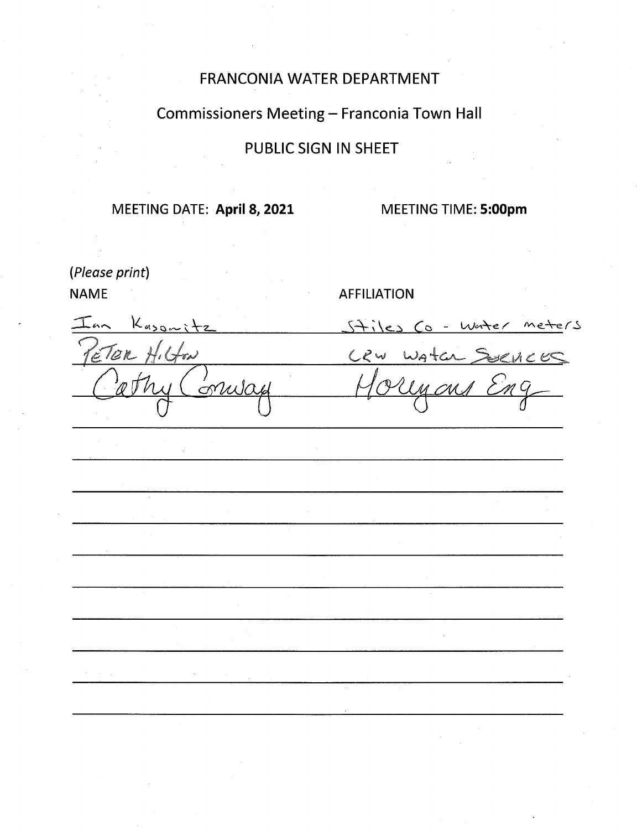# FRANCONIA WATER DEPARTMENT

# Commissioners Meeting - Franconia Town Hall

# **PUBLIC SIGN IN SHEET**

# MEETING DATE: April 8, 2021

MEETING TIME: 5:00pm

(Please print) **NAME** 

# **AFFILIATION**

 $k_{\text{avg}}$ Inn Stiles Co - Wester meters  $c$  lan  $r$  $C$ 2 $w$  $\#r$ ad  $W$ A+ $C$  $1<$   $e$ onula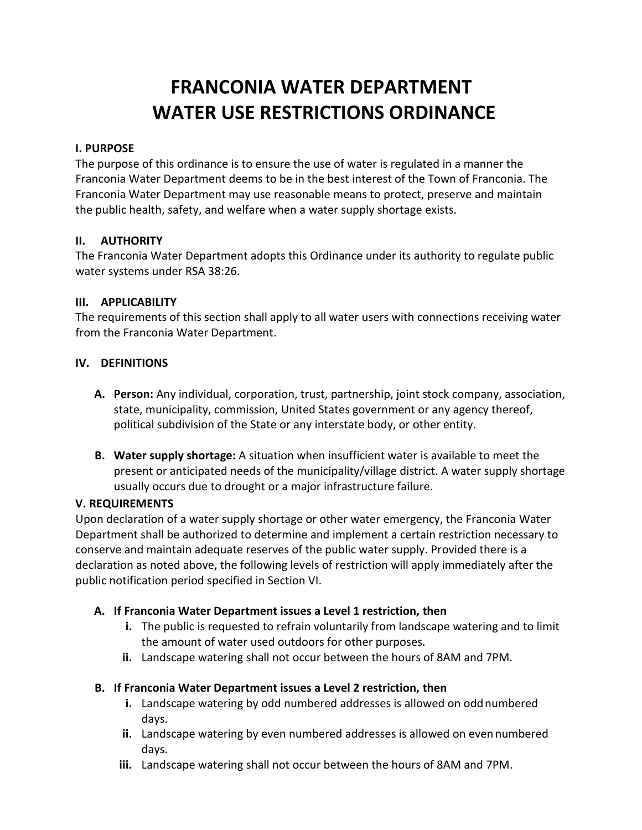# **FRANCONIA WATER DEPARTMENT WATER USE RESTRICTIONS ORDINANCE**

## **I. PURPOSE**

The purpose of this ordinance is to ensure the use of water is regulated in a manner the Franconia Water Department deems to be in the best interest of the Town of Franconia. The Franconia Water Department may use reasonable means to protect, preserve and maintain the public health, safety, and welfare when a water supply shortage exists.

## **II. AUTHORITY**

The Franconia Water Department adopts this Ordinance under its authority to regulate public water systems under RSA 38:26.

## **III. APPLICABILITY**

The requirements of this section shall apply to all water users with connections receiving water from the Franconia Water Department.

## **IV. DEFINITIONS**

- **A. Person:** Any individual, corporation, trust, partnership, joint stock company, association, state, municipality, commission, United States government or any agency thereof, political subdivision of the State or any interstate body, or other entity.
- **B. Water supply shortage:** A situation when insufficient water is available to meet the present or anticipated needs of the municipality/village district. A water supply shortage usually occurs due to drought or a major infrastructure failure.

#### **V. REQUIREMENTS**

Upon declaration of a water supply shortage or other water emergency, the Franconia Water Department shall be authorized to determine and implement a certain restriction necessary to conserve and maintain adequate reserves of the public water supply. Provided there is a declaration as noted above, the following levels of restriction will apply immediately after the public notification period specified in Section VI.

# **A. If Franconia Water Department issues a Level 1 restriction, then**

- **i.** The public is requested to refrain voluntarily from landscape watering and to limit the amount of water used outdoors for other purposes.
- **ii.** Landscape watering shall not occur between the hours of 8AM and 7PM.

# **B. If Franconia Water Department issues a Level 2 restriction, then**

- **i.** Landscape watering by odd numbered addresses is allowed on odd numbered days.
- **ii.** Landscape watering by even numbered addresses is allowed on even numbered days.
- **iii.** Landscape watering shall not occur between the hours of 8AM and 7PM.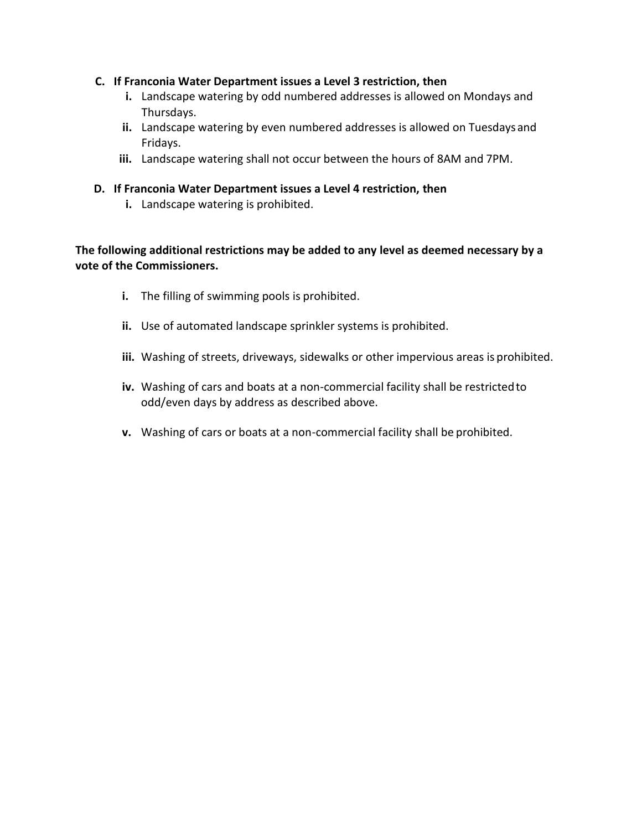## **C. If Franconia Water Department issues a Level 3 restriction, then**

- **i.** Landscape watering by odd numbered addresses is allowed on Mondays and Thursdays.
- **ii.** Landscape watering by even numbered addresses is allowed on Tuesdays and Fridays.
- **iii.** Landscape watering shall not occur between the hours of 8AM and 7PM.
- **D. If Franconia Water Department issues a Level 4 restriction, then**
	- **i.** Landscape watering is prohibited.

**The following additional restrictions may be added to any level as deemed necessary by a vote of the Commissioners.** 

- **i.** The filling of swimming pools is prohibited.
- **ii.** Use of automated landscape sprinkler systems is prohibited.
- **iii.** Washing of streets, driveways, sidewalks or other impervious areas is prohibited.
- **iv.** Washing of cars and boats at a non-commercial facility shall be restricted to odd/even days by address as described above.
- **v.** Washing of cars or boats at a non-commercial facility shall be prohibited.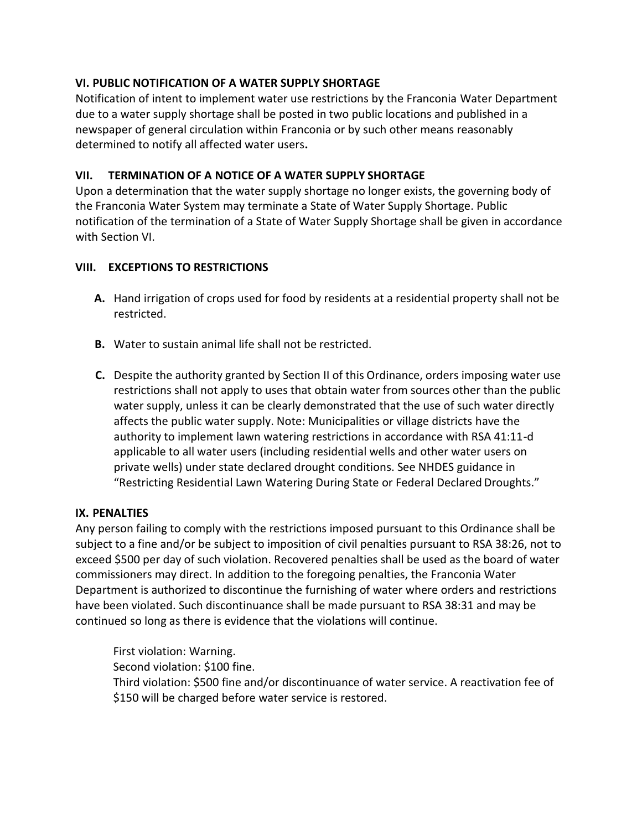# **VI. PUBLIC NOTIFICATION OF A WATER SUPPLY SHORTAGE**

Notification of intent to implement water use restrictions by the Franconia Water Department due to a water supply shortage shall be posted in two public locations and published in a newspaper of general circulation within Franconia or by such other means reasonably determined to notify all affected water users**.**

# **VII. TERMINATION OF A NOTICE OF A WATER SUPPLY SHORTAGE**

Upon a determination that the water supply shortage no longer exists, the governing body of the Franconia Water System may terminate a State of Water Supply Shortage. Public notification of the termination of a State of Water Supply Shortage shall be given in accordance with Section VI.

# **VIII. EXCEPTIONS TO RESTRICTIONS**

- **A.** Hand irrigation of crops used for food by residents at a residential property shall not be restricted.
- **B.** Water to sustain animal life shall not be restricted.
- **C.** Despite the authority granted by Section II of this Ordinance, orders imposing water use restrictions shall not apply to uses that obtain water from sources other than the public water supply, unless it can be clearly demonstrated that the use of such water directly affects the public water supply. Note: Municipalities or village districts have the authority to implement lawn watering restrictions in accordance with RSA 41:11-d applicable to all water users (including residential wells and other water users on private wells) under state declared drought conditions. See NHDES guidance in "Restricting Residential Lawn Watering During State or Federal Declared Droughts."

# **IX. PENALTIES**

Any person failing to comply with the restrictions imposed pursuant to this Ordinance shall be subject to a fine and/or be subject to imposition of civil penalties pursuant to RSA 38:26, not to exceed \$500 per day of such violation. Recovered penalties shall be used as the board of water commissioners may direct. In addition to the foregoing penalties, the Franconia Water Department is authorized to discontinue the furnishing of water where orders and restrictions have been violated. Such discontinuance shall be made pursuant to RSA 38:31 and may be continued so long as there is evidence that the violations will continue.

First violation: Warning. Second violation: \$100 fine. Third violation: \$500 fine and/or discontinuance of water service. A reactivation fee of \$150 will be charged before water service is restored.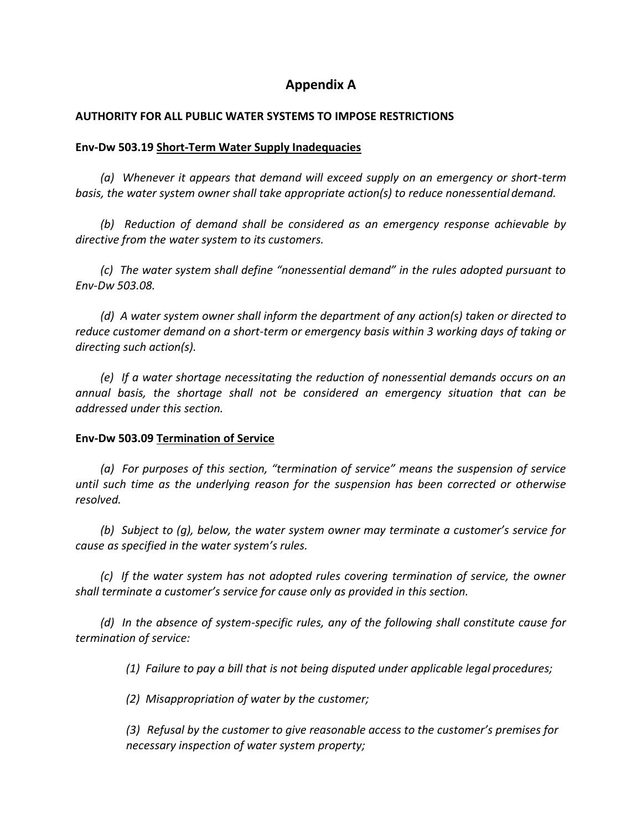# **Appendix A**

#### **AUTHORITY FOR ALL PUBLIC WATER SYSTEMS TO IMPOSE RESTRICTIONS**

#### **Env-Dw 503.19 Short-Term Water Supply Inadequacies**

*(a) Whenever it appears that demand will exceed supply on an emergency or short-term basis, the water system owner shall take appropriate action(s) to reduce nonessential demand.*

*(b) Reduction of demand shall be considered as an emergency response achievable by directive from the water system to its customers.*

*(c) The water system shall define "nonessential demand" in the rules adopted pursuant to Env-Dw 503.08.*

*(d) A water system owner shall inform the department of any action(s) taken or directed to reduce customer demand on a short-term or emergency basis within 3 working days of taking or directing such action(s).*

*(e) If a water shortage necessitating the reduction of nonessential demands occurs on an annual basis, the shortage shall not be considered an emergency situation that can be addressed under this section.*

#### **Env-Dw 503.09 Termination of Service**

*(a) For purposes of this section, "termination of service" means the suspension of service until such time as the underlying reason for the suspension has been corrected or otherwise resolved.*

*(b) Subject to (g), below, the water system owner may terminate a customer's service for cause as specified in the water system's rules.*

*(c) If the water system has not adopted rules covering termination of service, the owner shall terminate a customer's service for cause only as provided in this section.*

*(d) In the absence of system-specific rules, any of the following shall constitute cause for termination of service:*

*(1) Failure to pay a bill that is not being disputed under applicable legal procedures;*

*(2) Misappropriation of water by the customer;*

*(3) Refusal by the customer to give reasonable access to the customer's premises for necessary inspection of water system property;*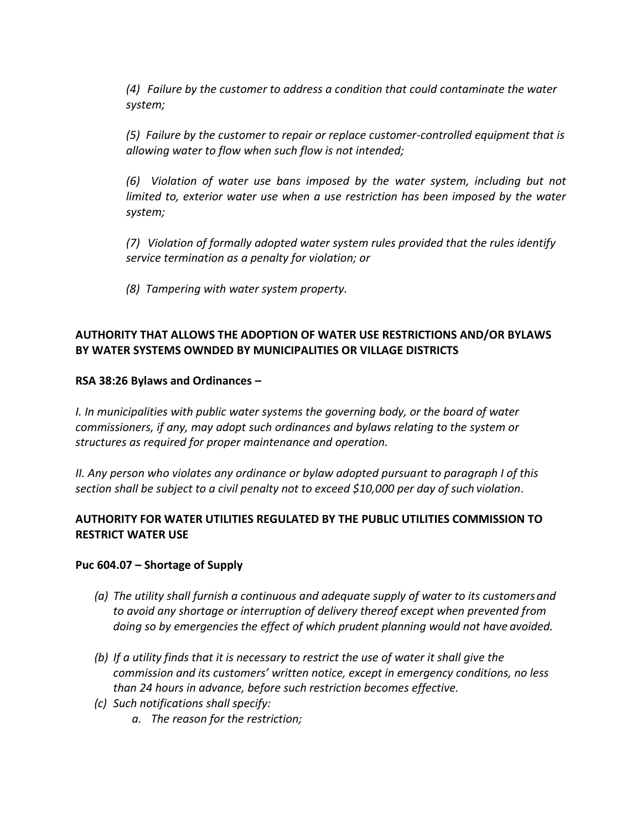*(4) Failure by the customer to address a condition that could contaminate the water system;*

*(5) Failure by the customer to repair or replace customer-controlled equipment that is allowing water to flow when such flow is not intended;*

*(6) Violation of water use bans imposed by the water system, including but not limited to, exterior water use when a use restriction has been imposed by the water system;*

*(7) Violation of formally adopted water system rules provided that the rules identify service termination as a penalty for violation; or*

*(8) Tampering with water system property.*

# **AUTHORITY THAT ALLOWS THE ADOPTION OF WATER USE RESTRICTIONS AND/OR BYLAWS BY WATER SYSTEMS OWNDED BY MUNICIPALITIES OR VILLAGE DISTRICTS**

## **RSA 38:26 Bylaws and Ordinances –**

*I. In municipalities with public water systems the governing body, or the board of water commissioners, if any, may adopt such ordinances and bylaws relating to the system or structures as required for proper maintenance and operation.*

*II. Any person who violates any ordinance or bylaw adopted pursuant to paragraph I of this section shall be subject to a civil penalty not to exceed \$10,000 per day of such violation*.

# **AUTHORITY FOR WATER UTILITIES REGULATED BY THE PUBLIC UTILITIES COMMISSION TO RESTRICT WATER USE**

#### **Puc 604.07 – Shortage of Supply**

- *(a) The utility shall furnish a continuous and adequate supply of water to its customersand to avoid any shortage or interruption of delivery thereof except when prevented from doing so by emergencies the effect of which prudent planning would not have avoided.*
- *(b) If a utility finds that it is necessary to restrict the use of water it shall give the commission and its customers' written notice, except in emergency conditions, no less than 24 hours in advance, before such restriction becomes effective.*
- *(c) Such notifications shall specify:*
	- *a. The reason for the restriction;*